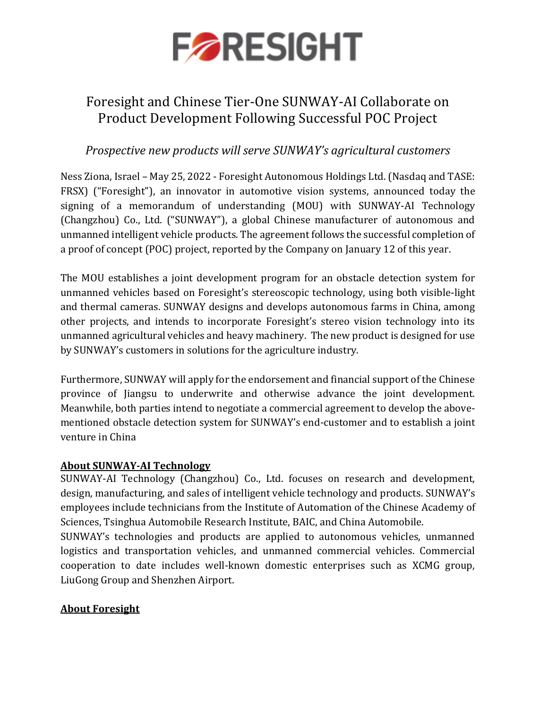

## Foresight and Chinese Tier-One SUNWAY-AI Collaborate on Product Development Following Successful POC Project

## *Prospective new products will serve SUNWAY's agricultural customers*

Ness Ziona, Israel – May 25, 2022 - Foresight Autonomous Holdings Ltd. (Nasdaq and TASE: FRSX) ("Foresight"), an innovator in automotive vision systems, announced today the signing of a memorandum of understanding (MOU) with SUNWAY-AI Technology (Changzhou) Co., Ltd. ("SUNWAY"), a global Chinese manufacturer of autonomous and unmanned intelligent vehicle products. The agreement follows the successful completion of a proof of concept (POC) project, reported by the Company on January 12 of this year.

The MOU establishes a joint development program for an obstacle detection system for unmanned vehicles based on Foresight's stereoscopic technology, using both visible-light and thermal cameras. SUNWAY designs and develops autonomous farms in China, among other projects, and intends to incorporate Foresight's stereo vision technology into its unmanned agricultural vehicles and heavy machinery. The new product is designed for use by SUNWAY's customers in solutions for the agriculture industry.

Furthermore, SUNWAY will apply for the endorsement and financial support of the Chinese province of Jiangsu to underwrite and otherwise advance the joint development. Meanwhile, both parties intend to negotiate a commercial agreement to develop the abovementioned obstacle detection system for SUNWAY's end-customer and to establish a joint venture in China

## **About SUNWAY-AI Technology**

SUNWAY-AI Technology (Changzhou) Co., Ltd. focuses on research and development, design, manufacturing, and sales of intelligent vehicle technology and products. SUNWAY's employees include technicians from the Institute of Automation of the Chinese Academy of Sciences, Tsinghua Automobile Research Institute, BAIC, and China Automobile.

SUNWAY's technologies and products are applied to autonomous vehicles, unmanned logistics and transportation vehicles, and unmanned commercial vehicles. Commercial cooperation to date includes well-known domestic enterprises such as XCMG group, LiuGong Group and Shenzhen Airport.

## **About Foresight**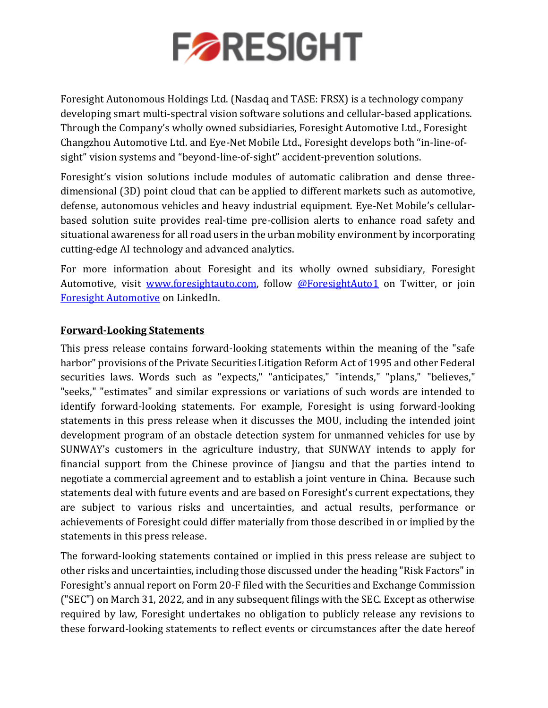

Foresight Autonomous Holdings Ltd. (Nasdaq and TASE: FRSX) is a technology company developing smart multi-spectral vision software solutions and cellular-based applications. Through the Company's wholly owned subsidiaries, Foresight Automotive Ltd., Foresight Changzhou Automotive Ltd. and Eye-Net Mobile Ltd., Foresight develops both "in-line-ofsight" vision systems and "beyond-line-of-sight" accident-prevention solutions.

Foresight's vision solutions include modules of automatic calibration and dense threedimensional (3D) point cloud that can be applied to different markets such as automotive, defense, autonomous vehicles and heavy industrial equipment. Eye-Net Mobile's cellularbased solution suite provides real-time pre-collision alerts to enhance road safety and situational awareness for all road users in the urban mobility environment by incorporating cutting-edge AI technology and advanced analytics.

For more information about Foresight and its wholly owned subsidiary, Foresight Automotive, visit [www.foresightauto.com,](about:blank) follow [@ForesightAuto1](https://twitter.com/ForesightAuto1) on Twitter, or join [Foresight Automotive](https://www.linkedin.com/company/foresight-automotive/) on LinkedIn.

### **Forward-Looking Statements**

This press release contains forward-looking statements within the meaning of the "safe harbor" provisions of the Private Securities Litigation Reform Act of 1995 and other Federal securities laws. Words such as "expects," "anticipates," "intends," "plans," "believes," "seeks," "estimates" and similar expressions or variations of such words are intended to identify forward-looking statements. For example, Foresight is using forward-looking statements in this press release when it discusses the MOU, including the intended joint development program of an obstacle detection system for unmanned vehicles for use by SUNWAY's customers in the agriculture industry, that SUNWAY intends to apply for financial support from the Chinese province of Jiangsu and that the parties intend to negotiate a commercial agreement and to establish a joint venture in China. Because such statements deal with future events and are based on Foresight's current expectations, they are subject to various risks and uncertainties, and actual results, performance or achievements of Foresight could differ materially from those described in or implied by the statements in this press release.

The forward-looking statements contained or implied in this press release are subject to other risks and uncertainties, including those discussed under the heading "Risk Factors" in Foresight's annual report on Form 20-F filed with the Securities and Exchange Commission ("SEC") on March 31, 2022, and in any subsequent filings with the SEC. Except as otherwise required by law, Foresight undertakes no obligation to publicly release any revisions to these forward-looking statements to reflect events or circumstances after the date hereof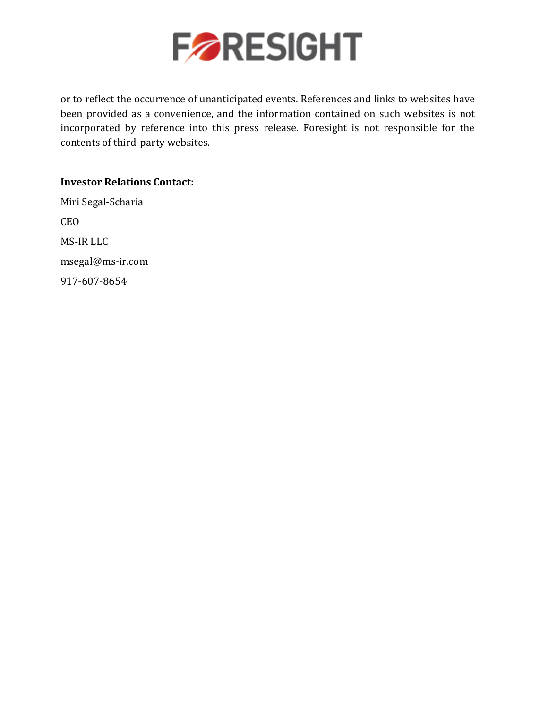

or to reflect the occurrence of unanticipated events. References and links to websites have been provided as a convenience, and the information contained on such websites is not incorporated by reference into this press release. Foresight is not responsible for the contents of third-party websites.

**Investor Relations Contact:**  Miri Segal-Scharia CEO MS-IR LLC [msegal@ms-ir.com](mailto:msegal@ms-ir.com) 917-607-8654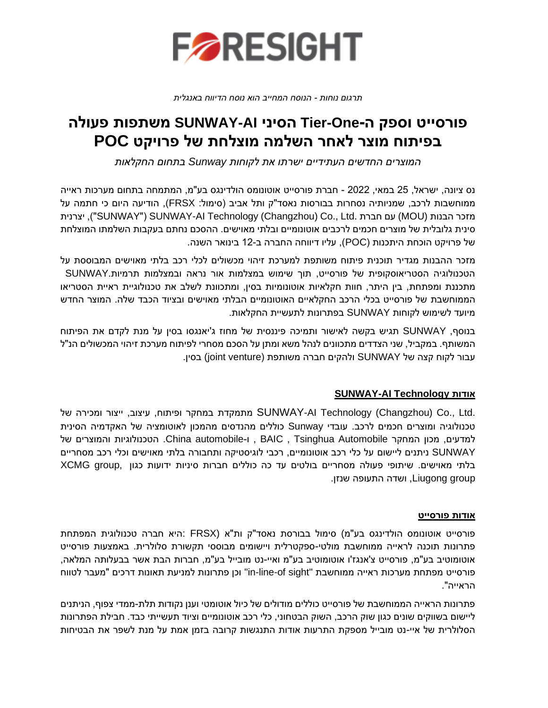

*תרגום נוחות - הנוסח המחייב הוא נוסח הדיווח באנגלית* 

# **פורסייט וספק ה- One-Tier הסיני AI-SUNWAY משתפות פעולה בפיתוח מוצר לאחר השלמה מוצלחת של פרויקט POC**

*המוצרים החדשים העתידיים ישרתו את לקוחות Sunway בתחום החקלאות*

נס ציונה, ישראל, 25 במאי, 2022 - חברת פורסייט אוטונומס הולדינגס בע"מ, המתמחה בתחום מערכות ראייה ממוחשבות לרכב, שמניותיה נסחרות בבורסות נאסד"ק ותל אביב (סימול: FRSX), הודיעה היום כי חתמה על יצרנית ,"(SUNWAY"( SUNWAY-AI Technology (Changzhou) Co., Ltd. חברת עם) MOU) הבנות מזכר סינית גלובלית של מוצרים חכמים לרכב ים אוטונומיים ובלתי מאוישים . ההסכם נחתם בעקבות השלמתו המוצלחת של פרויקט הוכחת היתכנות ) POC), עליו דיווחה החברה ב12- בינואר השנה.

מזכר ההבנות מגדיר תוכנית פיתוח משותפת למערכת זיהוי מכשולים לכלי רכב בלתי מאוישים המבוססת על הטכנולוגיה הסטריאוסקופית של פורסייט, תוך שימוש במצלמות אור נראה ובמצלמות תרמיות.SUNWAY מתכננת ומפתחת, בין היתר, חוות חקלאיות אוטונומיות בסין, ומתכוונת לשלב את טכנולוגיית ראיית הסטריאו הממוחשבת של פורסייט בכלי הרכב החקלאיים האוטונומיים הבלתי מאוישים ובציוד הכבד שלה. המוצר החדש מיועד לשימוש לקוחות SUNWAY בפתרונות לתעשיית החקלאות.

בנוסף, SUNWAY תגיש בקשה לאישור ותמיכה פיננסית של מחוז ג'יאנגסו בסין על מנת לקדם את הפיתוח המשותף. במקביל, שני הצדדים מתכוונים לנהל משא ומתן על הסכם מסחרי לפיתוח מערכת זיהוי המכשולים הנ"ל עבור לקוח קצה של SUNWAY ולהקים חברה משותפת ) venture joint (בסין .

### **SUNWAY-AI Technology אודות**

.Ltd .,Co) Changzhou (Technology AI-SUNWAY מתמקדת במחקר ופיתוח, עיצוב, ייצור ומכירה של טכנולוגיה ומוצרים חכמים לרכב. עובדי Sunway כוללים מהנדסים מהמכון לאוטומציה של האקדמיה הסינית למדעים, מכון המחקר Automobile Tsinghua , BAIC , ו-automobile China. הטכנולוגיות והמוצרים של SUNWAY ניתנים ליישום על כלי רכב אוטונומיים, רכבי לוגיסטיקה ותחבורה בלתי מאוישים וכלי רכב מסחריים בלתי מאוישים. שיתופי פעולה מסחריים בולטים עד כה כוללים חברות סיניות ידועות כגון ,XCMG group group Liugong, ושדה התעופה שנזן.

#### **אודות פורסייט**

פורסייט אוטונומס הולדינגס בע"מ) סימול בבורסת נאסד"ק ות"א (FRSX :היא חברה טכנולוגית המפתחת פתרונות תוכנה לראייה ממוחשבת מולטי-ספקטרלית ויישומים מבוססי תקשורת סלולרית. באמצעות פורסייט אוטומוטיב בע"מ, פורסייט צ'אנגז'ו אוטומוטיב בע"מ ואיי -נט מובייל בע"מ, חברות הבת אשר בבעלותה המלאה, פורסייט מפתחת מערכות ראייה ממוחשבת "sight of-line-in "וכן פתרונות למניעת תאונות דרכים "מעבר לטווח הראייה ".

פתרונות הראייה הממוחשבת של פורסייט כוללים מודולים של כיול אוטומטי וענן נקודות תלת-ממדי צפוף, הניתנים ליישום בשווקים שונים כגון שוק הרכב, השוק הבטחוני, כלי רכב אוטונומיים וציוד תעשייתי כבד. חבילת הפתרונות הסלולרית של איי -נט מובייל מספקת התרעות אודות התנגשות קרובה בזמן אמת על מנת לשפר את הבטיחות